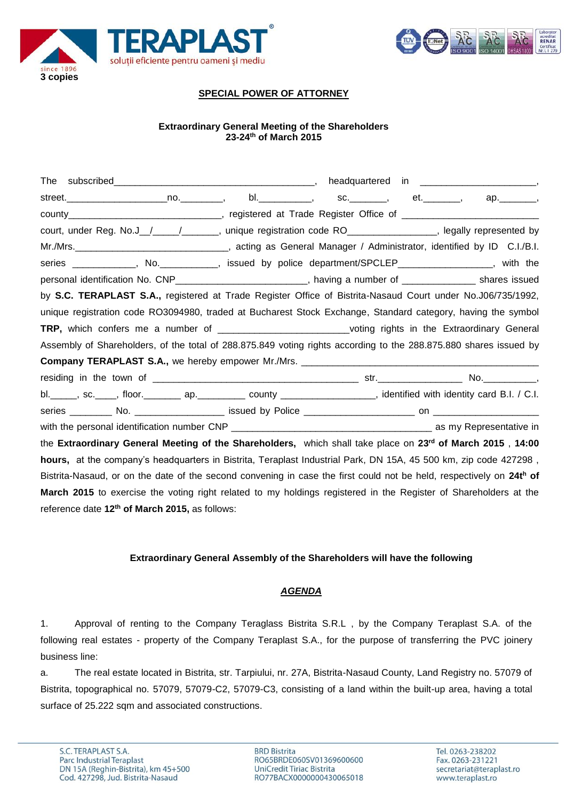

![](_page_0_Picture_1.jpeg)

# **SPECIAL POWER OF ATTORNEY**

## **Extraordinary General Meeting of the Shareholders 23-24th of March 2015**

| street._______________________no.___________,   bl.______________,   sc._________,   et._________,                        |  |  |
|---------------------------------------------------------------------------------------------------------------------------|--|--|
|                                                                                                                           |  |  |
| court, under Reg. No.J_/___/______, unique registration code RO_______________, legally represented by                    |  |  |
|                                                                                                                           |  |  |
| series ____________, No. __________, issued by police department/SPCLEP________________, with the                         |  |  |
| personal identification No. CNP___________________________, having a number of _______________ shares issued              |  |  |
| by S.C. TERAPLAST S.A., registered at Trade Register Office of Bistrita-Nasaud Court under No.J06/735/1992,               |  |  |
| unique registration code RO3094980, traded at Bucharest Stock Exchange, Standard category, having the symbol              |  |  |
| TRP, which confers me a number of ___________________________voting rights in the Extraordinary General                   |  |  |
| Assembly of Shareholders, of the total of 288.875.849 voting rights according to the 288.875.880 shares issued by         |  |  |
|                                                                                                                           |  |  |
|                                                                                                                           |  |  |
| bl. _____, sc. ____, floor. _________ ap. __________ county __________________, identified with identity card B.I. / C.I. |  |  |
|                                                                                                                           |  |  |
|                                                                                                                           |  |  |
| the Extraordinary General Meeting of the Shareholders, which shall take place on 23 <sup>rd</sup> of March 2015, 14:00    |  |  |
| hours, at the company's headquarters in Bistrita, Teraplast Industrial Park, DN 15A, 45 500 km, zip code 427298,          |  |  |
| Bistrita-Nasaud, or on the date of the second convening in case the first could not be held, respectively on 24th of      |  |  |
| March 2015 to exercise the voting right related to my holdings registered in the Register of Shareholders at the          |  |  |
| reference date 12 <sup>th</sup> of March 2015, as follows:                                                                |  |  |

## **Extraordinary General Assembly of the Shareholders will have the following**

## *AGENDA*

1. Approval of renting to the Company Teraglass Bistrita S.R.L , by the Company Teraplast S.A. of the following real estates - property of the Company Teraplast S.A., for the purpose of transferring the PVC joinery business line:

a. The real estate located in Bistrita, str. Tarpiului, nr. 27A, Bistrita-Nasaud County, Land Registry no. 57079 of Bistrita, topographical no. 57079, 57079-C2, 57079-C3, consisting of a land within the built-up area, having a total surface of 25.222 sqm and associated constructions.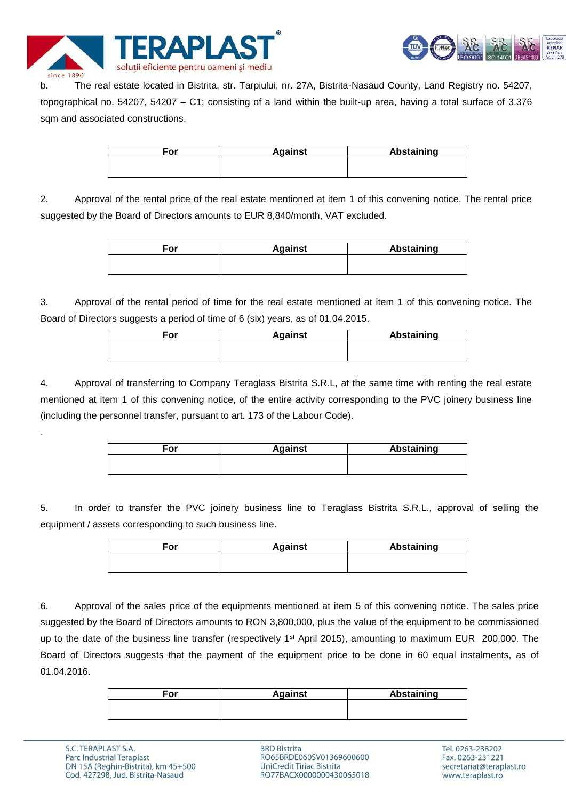![](_page_1_Picture_0.jpeg)

![](_page_1_Picture_1.jpeg)

b. The real estate located in Bistrita, str. Tarpiului, nr. 27A, Bistrita-Nasaud County, Land Registry no. 54207, topographical no. 54207, 54207 – C1; consisting of a land within the built-up area, having a total surface of 3.376 sqm and associated constructions.

| For | <b>Against</b> | <b>Abstaining</b> |
|-----|----------------|-------------------|
|     |                |                   |

2. Approval of the rental price of the real estate mentioned at item 1 of this convening notice. The rental price suggested by the Board of Directors amounts to EUR 8,840/month, VAT excluded.

| For | <b>Against</b> | <b>Abstaining</b> |
|-----|----------------|-------------------|
|     |                |                   |
|     |                |                   |

3. Approval of the rental period of time for the real estate mentioned at item 1 of this convening notice. The Board of Directors suggests a period of time of 6 (six) years, as of 01.04.2015.

| For | <b>Against</b> | <b>Abstaining</b> |
|-----|----------------|-------------------|
|     |                |                   |
|     |                |                   |

4. Approval of transferring to Company Teraglass Bistrita S.R.L, at the same time with renting the real estate mentioned at item 1 of this convening notice, of the entire activity corresponding to the PVC joinery business line (including the personnel transfer, pursuant to art. 173 of the Labour Code).

| For | <b>Against</b> | <b>Abstaining</b> |
|-----|----------------|-------------------|
|     |                |                   |

5. In order to transfer the PVC joinery business line to Teraglass Bistrita S.R.L., approval of selling the equipment / assets corresponding to such business line.

| For | <b>Against</b> | <b>Abstaining</b> |
|-----|----------------|-------------------|
|     |                |                   |
|     |                |                   |

6. Approval of the sales price of the equipments mentioned at item 5 of this convening notice. The sales price suggested by the Board of Directors amounts to RON 3,800,000, plus the value of the equipment to be commissioned up to the date of the business line transfer (respectively 1<sup>st</sup> April 2015), amounting to maximum EUR 200,000. The Board of Directors suggests that the payment of the equipment price to be done in 60 equal instalments, as of 01.04.2016.

| ∃or | <b>Against</b> | Abstaining |
|-----|----------------|------------|
|     |                |            |
|     |                |            |

.

**BRD Bistrita** RO65BRDE060SV01369600600 **UniCredit Tiriac Bistrita** RO77BACX0000000430065018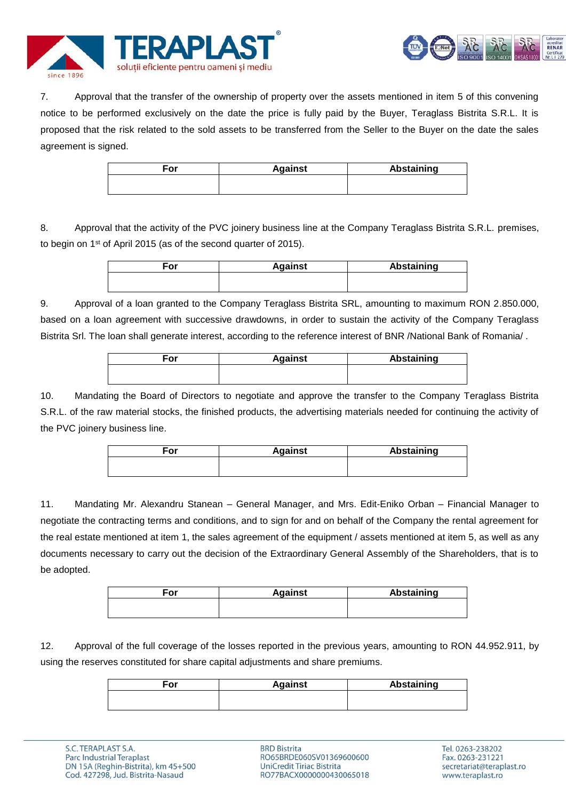![](_page_2_Picture_0.jpeg)

![](_page_2_Picture_1.jpeg)

7. Approval that the transfer of the ownership of property over the assets mentioned in item 5 of this convening notice to be performed exclusively on the date the price is fully paid by the Buyer, Teraglass Bistrita S.R.L. It is proposed that the risk related to the sold assets to be transferred from the Seller to the Buyer on the date the sales agreement is signed.

| For | <b>Against</b> | <b>Abstaining</b> |
|-----|----------------|-------------------|
|     |                |                   |
|     |                |                   |

8. Approval that the activity of the PVC joinery business line at the Company Teraglass Bistrita S.R.L. premises, to begin on 1st of April 2015 (as of the second quarter of 2015).

| For | <b>Against</b> | <b>Abstaining</b> |
|-----|----------------|-------------------|
|     |                |                   |

9. Approval of a loan granted to the Company Teraglass Bistrita SRL, amounting to maximum RON 2.850.000, based on a loan agreement with successive drawdowns, in order to sustain the activity of the Company Teraglass Bistrita Srl. The loan shall generate interest, according to the reference interest of BNR /National Bank of Romania/ .

| ∃or | <b>Against</b> | <b>Abstaining</b> |
|-----|----------------|-------------------|
|     |                |                   |

10. Mandating the Board of Directors to negotiate and approve the transfer to the Company Teraglass Bistrita S.R.L. of the raw material stocks, the finished products, the advertising materials needed for continuing the activity of the PVC joinery business line.

| For | <b>Against</b> | Abstaining |
|-----|----------------|------------|
|     |                |            |
|     |                |            |

11. Mandating Mr. Alexandru Stanean – General Manager, and Mrs. Edit-Eniko Orban – Financial Manager to negotiate the contracting terms and conditions, and to sign for and on behalf of the Company the rental agreement for the real estate mentioned at item 1, the sales agreement of the equipment / assets mentioned at item 5, as well as any documents necessary to carry out the decision of the Extraordinary General Assembly of the Shareholders, that is to be adopted.

| For | <b>Against</b> | <b>Abstaining</b> |
|-----|----------------|-------------------|
|     |                |                   |
|     |                |                   |

12. Approval of the full coverage of the losses reported in the previous years, amounting to RON 44.952.911, by using the reserves constituted for share capital adjustments and share premiums.

| For | <b>Against</b> | Abstaining |
|-----|----------------|------------|
|     |                |            |
|     |                |            |

**BRD Bistrita** RO65BRDE060SV01369600600 **UniCredit Tiriac Bistrita** RO77BACX0000000430065018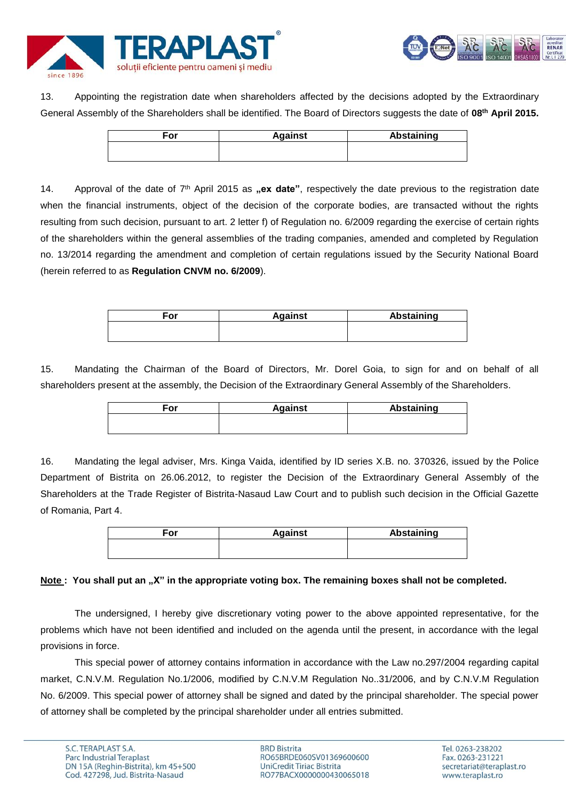![](_page_3_Picture_0.jpeg)

![](_page_3_Picture_1.jpeg)

13. Appointing the registration date when shareholders affected by the decisions adopted by the Extraordinary General Assembly of the Shareholders shall be identified. The Board of Directors suggests the date of **08th April 2015.**

| For | <b>Against</b> | Abstaining |
|-----|----------------|------------|
|     |                |            |
|     |                |            |

14. Approval of the date of 7<sup>th</sup> April 2015 as **"ex date**", respectively the date previous to the registration date when the financial instruments, object of the decision of the corporate bodies, are transacted without the rights resulting from such decision, pursuant to art. 2 letter f) of Regulation no. 6/2009 regarding the exercise of certain rights of the shareholders within the general assemblies of the trading companies, amended and completed by Regulation no. 13/2014 regarding the amendment and completion of certain regulations issued by the Security National Board (herein referred to as **Regulation CNVM no. 6/2009**).

| <b>Against</b> | Abstaining |
|----------------|------------|
|                |            |
|                |            |

15. Mandating the Chairman of the Board of Directors, Mr. Dorel Goia, to sign for and on behalf of all shareholders present at the assembly, the Decision of the Extraordinary General Assembly of the Shareholders.

| For | <b>Against</b> | Abstaining |
|-----|----------------|------------|
|     |                |            |
|     |                |            |

16. Mandating the legal adviser, Mrs. Kinga Vaida, identified by ID series X.B. no. 370326, issued by the Police Department of Bistrita on 26.06.2012, to register the Decision of the Extraordinary General Assembly of the Shareholders at the Trade Register of Bistrita-Nasaud Law Court and to publish such decision in the Official Gazette of Romania, Part 4.

| ≂or | <b>Against</b> | Abstaining |
|-----|----------------|------------|
|     |                |            |

# Note : You shall put an "X" in the appropriate voting box. The remaining boxes shall not be completed.

The undersigned, I hereby give discretionary voting power to the above appointed representative, for the problems which have not been identified and included on the agenda until the present, in accordance with the legal provisions in force.

This special power of attorney contains information in accordance with the Law no.297/2004 regarding capital market, C.N.V.M. Regulation No.1/2006, modified by C.N.V.M Regulation No..31/2006, and by C.N.V.M Regulation No. 6/2009. This special power of attorney shall be signed and dated by the principal shareholder. The special power of attorney shall be completed by the principal shareholder under all entries submitted.